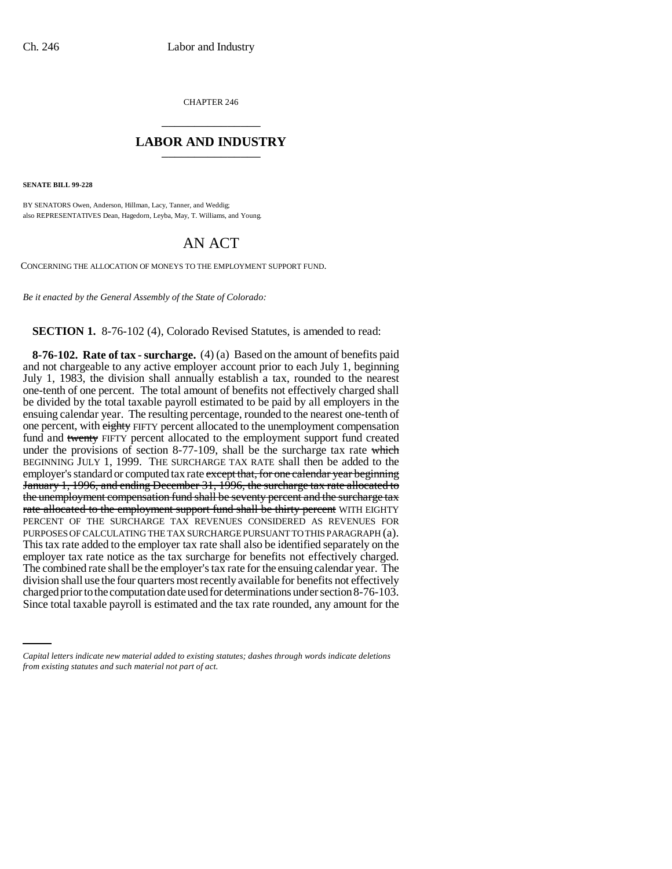CHAPTER 246 \_\_\_\_\_\_\_\_\_\_\_\_\_\_\_

## **LABOR AND INDUSTRY** \_\_\_\_\_\_\_\_\_\_\_\_\_\_\_

**SENATE BILL 99-228** 

BY SENATORS Owen, Anderson, Hillman, Lacy, Tanner, and Weddig; also REPRESENTATIVES Dean, Hagedorn, Leyba, May, T. Williams, and Young.

## AN ACT

CONCERNING THE ALLOCATION OF MONEYS TO THE EMPLOYMENT SUPPORT FUND.

*Be it enacted by the General Assembly of the State of Colorado:*

**SECTION 1.** 8-76-102 (4), Colorado Revised Statutes, is amended to read:

charged prior to the computation date used for determinations under section 8-76-103. **8-76-102. Rate of tax - surcharge.** (4) (a) Based on the amount of benefits paid and not chargeable to any active employer account prior to each July 1, beginning July 1, 1983, the division shall annually establish a tax, rounded to the nearest one-tenth of one percent. The total amount of benefits not effectively charged shall be divided by the total taxable payroll estimated to be paid by all employers in the ensuing calendar year. The resulting percentage, rounded to the nearest one-tenth of one percent, with eighty FIFTY percent allocated to the unemployment compensation fund and twenty FIFTY percent allocated to the employment support fund created under the provisions of section 8-77-109, shall be the surcharge tax rate which BEGINNING JULY 1, 1999. THE SURCHARGE TAX RATE shall then be added to the employer's standard or computed tax rate except that, for one calendar year beginning January 1, 1996, and ending December 31, 1996, the surcharge tax rate allocated to the unemployment compensation fund shall be seventy percent and the surcharge tax rate allocated to the employment support fund shall be thirty percent WITH EIGHTY PERCENT OF THE SURCHARGE TAX REVENUES CONSIDERED AS REVENUES FOR PURPOSES OF CALCULATING THE TAX SURCHARGE PURSUANT TO THIS PARAGRAPH (a). This tax rate added to the employer tax rate shall also be identified separately on the employer tax rate notice as the tax surcharge for benefits not effectively charged. The combined rate shall be the employer's tax rate for the ensuing calendar year. The division shall use the four quarters most recently available for benefits not effectively Since total taxable payroll is estimated and the tax rate rounded, any amount for the

*Capital letters indicate new material added to existing statutes; dashes through words indicate deletions from existing statutes and such material not part of act.*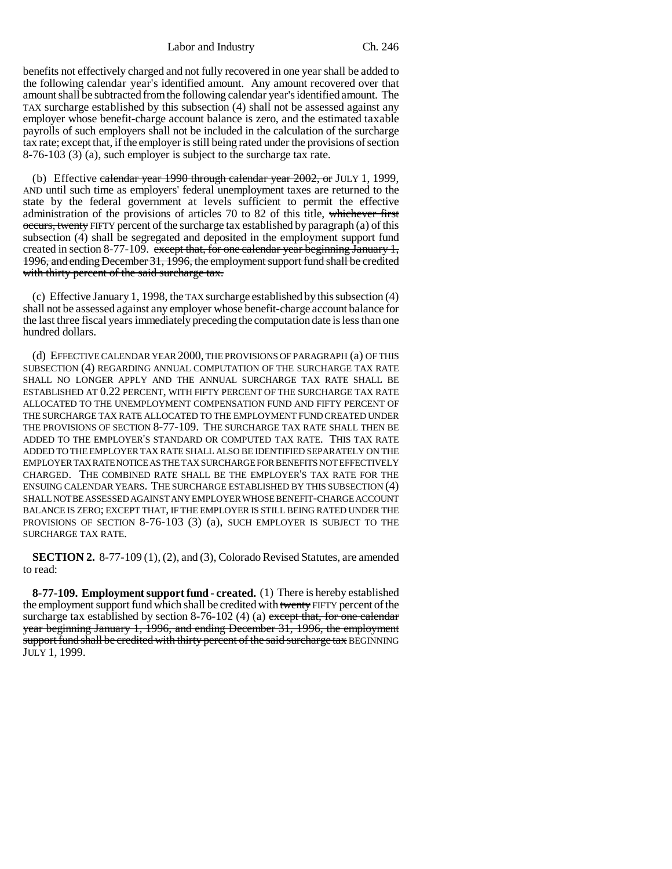Labor and Industry Ch. 246

benefits not effectively charged and not fully recovered in one year shall be added to the following calendar year's identified amount. Any amount recovered over that amount shall be subtracted from the following calendar year's identified amount. The TAX surcharge established by this subsection (4) shall not be assessed against any employer whose benefit-charge account balance is zero, and the estimated taxable payrolls of such employers shall not be included in the calculation of the surcharge tax rate; except that, if the employer is still being rated under the provisions of section 8-76-103 (3) (a), such employer is subject to the surcharge tax rate.

(b) Effective calendar year  $1990$  through calendar year  $2002$ , or JULY 1, 1999, AND until such time as employers' federal unemployment taxes are returned to the state by the federal government at levels sufficient to permit the effective administration of the provisions of articles 70 to 82 of this title, whichever first occurs, twenty FIFTY percent of the surcharge tax established by paragraph (a) of this subsection (4) shall be segregated and deposited in the employment support fund created in section 8-77-109. except that, for one calendar year beginning January 1, 1996, and ending December 31, 1996, the employment support fund shall be credited with thirty percent of the said surcharge tax.

(c) Effective January 1, 1998, the TAX surcharge established by this subsection (4) shall not be assessed against any employer whose benefit-charge account balance for the last three fiscal years immediately preceding the computation date is less than one hundred dollars.

(d) EFFECTIVE CALENDAR YEAR 2000, THE PROVISIONS OF PARAGRAPH (a) OF THIS SUBSECTION (4) REGARDING ANNUAL COMPUTATION OF THE SURCHARGE TAX RATE SHALL NO LONGER APPLY AND THE ANNUAL SURCHARGE TAX RATE SHALL BE ESTABLISHED AT 0.22 PERCENT, WITH FIFTY PERCENT OF THE SURCHARGE TAX RATE ALLOCATED TO THE UNEMPLOYMENT COMPENSATION FUND AND FIFTY PERCENT OF THE SURCHARGE TAX RATE ALLOCATED TO THE EMPLOYMENT FUND CREATED UNDER THE PROVISIONS OF SECTION 8-77-109. THE SURCHARGE TAX RATE SHALL THEN BE ADDED TO THE EMPLOYER'S STANDARD OR COMPUTED TAX RATE. THIS TAX RATE ADDED TO THE EMPLOYER TAX RATE SHALL ALSO BE IDENTIFIED SEPARATELY ON THE EMPLOYER TAX RATE NOTICE AS THE TAX SURCHARGE FOR BENEFITS NOT EFFECTIVELY CHARGED. THE COMBINED RATE SHALL BE THE EMPLOYER'S TAX RATE FOR THE ENSUING CALENDAR YEARS. THE SURCHARGE ESTABLISHED BY THIS SUBSECTION (4) SHALL NOT BE ASSESSED AGAINST ANY EMPLOYER WHOSE BENEFIT-CHARGE ACCOUNT BALANCE IS ZERO; EXCEPT THAT, IF THE EMPLOYER IS STILL BEING RATED UNDER THE PROVISIONS OF SECTION 8-76-103 (3) (a), SUCH EMPLOYER IS SUBJECT TO THE SURCHARGE TAX RATE.

**SECTION 2.** 8-77-109 (1), (2), and (3), Colorado Revised Statutes, are amended to read:

**8-77-109. Employment support fund - created.** (1) There is hereby established the employment support fund which shall be credited with twenty FIFTY percent of the surcharge tax established by section 8-76-102 (4) (a) except that, for one calendar year beginning January 1, 1996, and ending December 31, 1996, the employment support fund shall be credited with thirty percent of the said surcharge tax BEGINNING JULY 1, 1999.